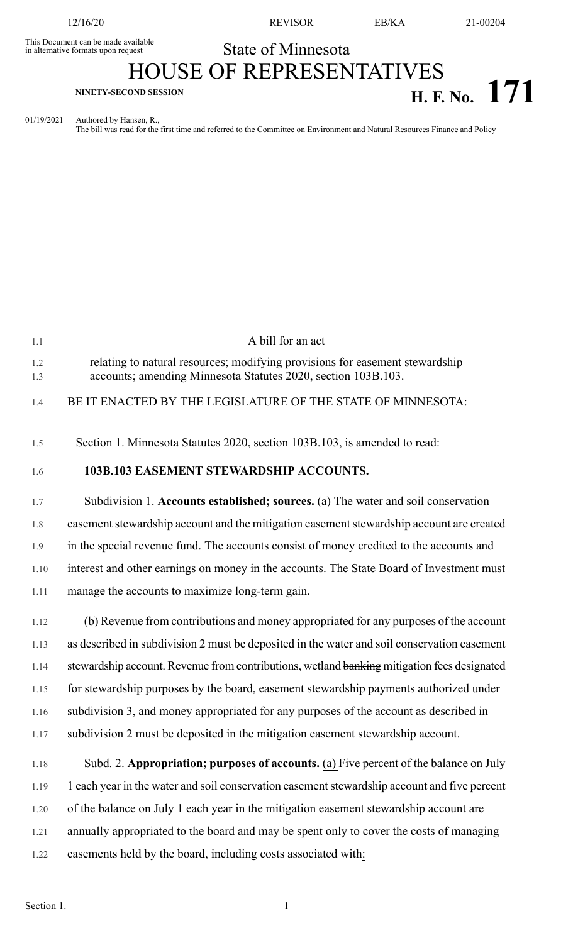This Document can be made available<br>
in alternative formats upon request<br>
State of Minnesota in alternative formats upon request

12/16/20 REVISOR EB/KA 21-00204

## HOUSE OF REPRESENTATIVES **H. F. No. 171 NINETY-SECOND SESSION**

01/19/2021 Authored by Hansen, R., The bill was read for the first time and referred to the Committee on Environment and Natural Resources Finance and Policy

| 1.1        | A bill for an act                                                                                                                             |
|------------|-----------------------------------------------------------------------------------------------------------------------------------------------|
| 1.2<br>1.3 | relating to natural resources; modifying provisions for easement stewardship<br>accounts; amending Minnesota Statutes 2020, section 103B.103. |
| 1.4        | BE IT ENACTED BY THE LEGISLATURE OF THE STATE OF MINNESOTA:                                                                                   |
| 1.5        | Section 1. Minnesota Statutes 2020, section 103B.103, is amended to read:                                                                     |
| 1.6        | 103B.103 EASEMENT STEWARDSHIP ACCOUNTS.                                                                                                       |
| 1.7        | Subdivision 1. Accounts established; sources. (a) The water and soil conservation                                                             |
| 1.8        | easement stewardship account and the mitigation easement stewardship account are created                                                      |
| 1.9        | in the special revenue fund. The accounts consist of money credited to the accounts and                                                       |
| $1.10\,$   | interest and other earnings on money in the accounts. The State Board of Investment must                                                      |
| 1.11       | manage the accounts to maximize long-term gain.                                                                                               |
| 1.12       | (b) Revenue from contributions and money appropriated for any purposes of the account                                                         |
| 1.13       | as described in subdivision 2 must be deposited in the water and soil conservation easement                                                   |
| 1.14       | stewardship account. Revenue from contributions, wetland banking mitigation fees designated                                                   |
| 1.15       | for stewardship purposes by the board, easement stewardship payments authorized under                                                         |
| 1.16       | subdivision 3, and money appropriated for any purposes of the account as described in                                                         |

- 1.17 subdivision 2 must be deposited in the mitigation easement stewardship account.
- 1.18 Subd. 2. **Appropriation; purposes of accounts.** (a) Five percent of the balance on July 1.19 1 each year in the water and soil conservation easement stewardship account and five percent 1.20 of the balance on July 1 each year in the mitigation easement stewardship account are 1.21 annually appropriated to the board and may be spent only to cover the costs of managing 1.22 easements held by the board, including costs associated with: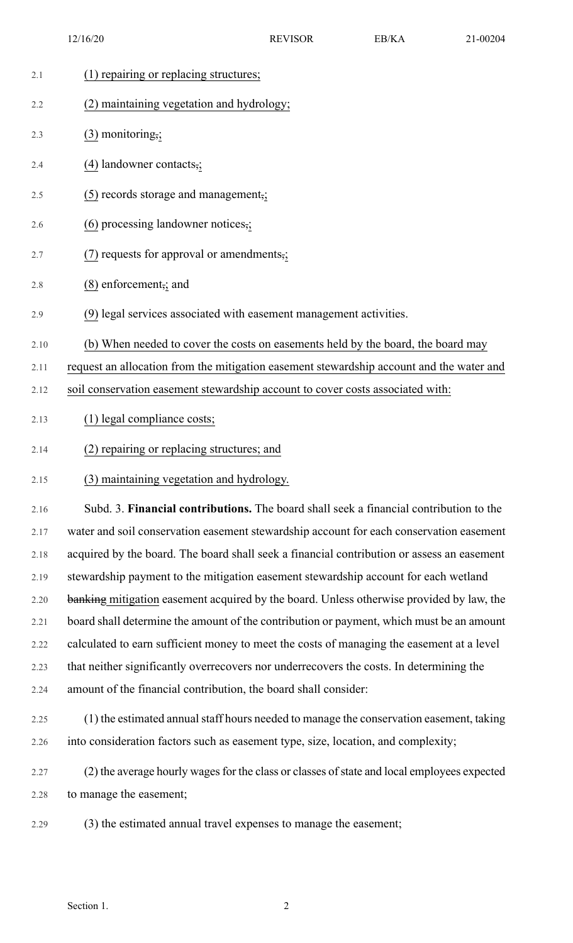| 2.1  | (1) repairing or replacing structures;                                                      |
|------|---------------------------------------------------------------------------------------------|
| 2.2  | (2) maintaining vegetation and hydrology;                                                   |
| 2.3  | $(3)$ monitoring,;                                                                          |
| 2.4  | $(4)$ landowner contacts,;                                                                  |
| 2.5  | (5) records storage and management,;                                                        |
| 2.6  | $(6)$ processing landowner notices,;                                                        |
| 2.7  | $(7)$ requests for approval or amendments,;                                                 |
| 2.8  | $(8)$ enforcement, and                                                                      |
| 2.9  | (9) legal services associated with easement management activities.                          |
| 2.10 | (b) When needed to cover the costs on easements held by the board, the board may            |
| 2.11 | request an allocation from the mitigation easement stewardship account and the water and    |
| 2.12 | soil conservation easement stewardship account to cover costs associated with:              |
| 2.13 | (1) legal compliance costs;                                                                 |
| 2.14 | (2) repairing or replacing structures; and                                                  |
| 2.15 | (3) maintaining vegetation and hydrology.                                                   |
| 2.16 | Subd. 3. Financial contributions. The board shall seek a financial contribution to the      |
| 2.17 | water and soil conservation easement stewardship account for each conservation easement     |
| 2.18 | acquired by the board. The board shall seek a financial contribution or assess an easement  |
| 2.19 | stewardship payment to the mitigation easement stewardship account for each wetland         |
| 2.20 | banking mitigation easement acquired by the board. Unless otherwise provided by law, the    |
| 2.21 | board shall determine the amount of the contribution or payment, which must be an amount    |
| 2.22 | calculated to earn sufficient money to meet the costs of managing the easement at a level   |
| 2.23 | that neither significantly overrecovers nor underrecovers the costs. In determining the     |
| 2.24 | amount of the financial contribution, the board shall consider:                             |
| 2.25 | (1) the estimated annual staff hours needed to manage the conservation easement, taking     |
| 2.26 | into consideration factors such as easement type, size, location, and complexity;           |
| 2.27 | (2) the average hourly wages for the class or classes of state and local employees expected |
| 2.28 | to manage the easement;                                                                     |
| 2.29 | (3) the estimated annual travel expenses to manage the easement;                            |
|      |                                                                                             |